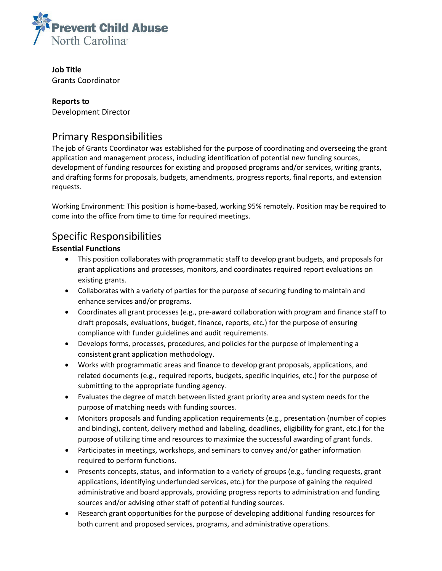

**Job Title** Grants Coordinator

#### **Reports to** Development Director

# Primary Responsibilities

The job of Grants Coordinator was established for the purpose of coordinating and overseeing the grant application and management process, including identification of potential new funding sources, development of funding resources for existing and proposed programs and/or services, writing grants, and drafting forms for proposals, budgets, amendments, progress reports, final reports, and extension requests.

Working Environment: This position is home-based, working 95% remotely. Position may be required to come into the office from time to time for required meetings.

## Specific Responsibilities

### **Essential Functions**

- This position collaborates with programmatic staff to develop grant budgets, and proposals for grant applications and processes, monitors, and coordinates required report evaluations on existing grants.
- Collaborates with a variety of parties for the purpose of securing funding to maintain and enhance services and/or programs.
- Coordinates all grant processes (e.g., pre-award collaboration with program and finance staff to draft proposals, evaluations, budget, finance, reports, etc.) for the purpose of ensuring compliance with funder guidelines and audit requirements.
- Develops forms, processes, procedures, and policies for the purpose of implementing a consistent grant application methodology.
- Works with programmatic areas and finance to develop grant proposals, applications, and related documents (e.g., required reports, budgets, specific inquiries, etc.) for the purpose of submitting to the appropriate funding agency.
- Evaluates the degree of match between listed grant priority area and system needs for the purpose of matching needs with funding sources.
- Monitors proposals and funding application requirements (e.g., presentation (number of copies and binding), content, delivery method and labeling, deadlines, eligibility for grant, etc.) for the purpose of utilizing time and resources to maximize the successful awarding of grant funds.
- Participates in meetings, workshops, and seminars to convey and/or gather information required to perform functions.
- Presents concepts, status, and information to a variety of groups (e.g., funding requests, grant applications, identifying underfunded services, etc.) for the purpose of gaining the required administrative and board approvals, providing progress reports to administration and funding sources and/or advising other staff of potential funding sources.
- Research grant opportunities for the purpose of developing additional funding resources for both current and proposed services, programs, and administrative operations.